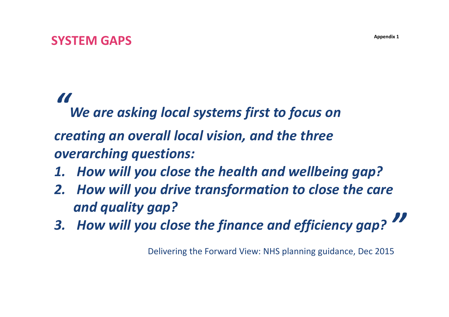## **SYSTEM GAPS**

# *"*

*We are asking local systems first to focus on* 

*creating an overall local vision, and the three overarching questions:*

- *1. How will you close the health and wellbeing gap?*
- *2. How will you drive transformation to close the care and quality gap?*
- *3. How will you close the finance and efficiency gap? "*

Delivering the Forward View: NHS planning guidance, Dec 2015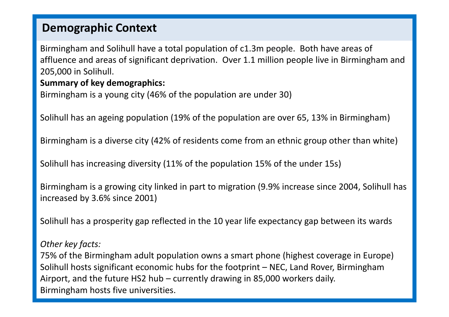### **Demographic Context**

Birmingham and Solihull have a total population of c1.3m people. Both have areas of affluence and areas of significant deprivation. Over 1.1 million people live in Birmingham and 205,000 in Solihull.

### **Summary of key demographics:**

```
Birmingham is a young city (46% of the population are under 30)
```
Solihull has an ageing population (19% of the population are over 65, 13% in Birmingham)

Birmingham is a diverse city (42% of residents come from an ethnic group other than white)

Solihull has increasing diversity (11% of the population 15% of the under 15s)

Birmingham is a growing city linked in part to migration (9.9% increase since 2004, Solihull has increased by 3.6% since 2001)

Solihull has a prosperity gap reflected in the 10 year life expectancy gap between its wards

#### *Other key facts:*

75% of the Birmingham adult population owns a smart phone (highest coverage in Europe) Solihull hosts significant economic hubs for the footprint – NEC, Land Rover, Birmingham Airport, and the future HS2 hub – currently drawing in 85,000 workers daily. Birmingham hosts five universities.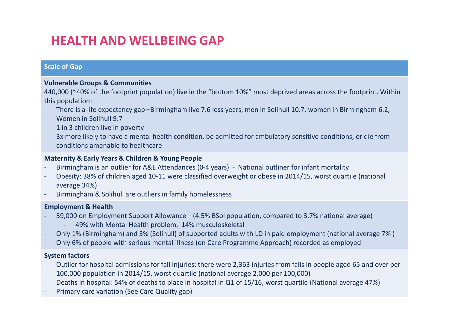## **HEALTH AND WELLBEING GAP**

#### **Scale of Gap**

#### **Vulnerable Groups & Communities**

440,000 (~40% of the footprint population) live in the "bottom 10%" most deprived areas across the footprint. Within this population:

- There is a life expectancy gap –Birmingham live 7.6 less years, men in Solihull 10.7, women in Birmingham 6.2, Women in Solihull 9.7
- 1 in 3 children live in poverty
- 3x more likely to have a mental health condition, be admitted for ambulatory sensitive conditions, or die from conditions amenable to healthcare

#### **Maternity & Early Years & Children & Young People**

- Birmingham is an outlier for A&E Attendances (0-4 years) National outliner for infant mortality
- Obesity: 38% of children aged 10-11 were classified overweight or obese in 2014/15, worst quartile (national average 34%)
- Birmingham & Solihull are outliers in family homelessness

#### **Employment & Health**

- 59,000 on Employment Support Allowance (4.5% BSol population, compared to 3.7% national average)
	- 49% with Mental Health problem, 14% musculoskeletal
- Only 1% (Birmingham) and 3% (Solihull) of supported adults with LD in paid employment (national average 7% )
- Only 6% of people with serious mental illness (on Care Programme Approach) recorded as employed

#### **System factors**

- Outlier for hospital admissions for fall injuries: there were 2,363 injuries from falls in people aged 65 and over per 100,000 population in 2014/15, worst quartile (national average 2,000 per 100,000)
- Deaths in hospital: 54% of deaths to place in hospital in Q1 of 15/16, worst quartile (National average 47%)
- Primary care variation (See Care Quality gap)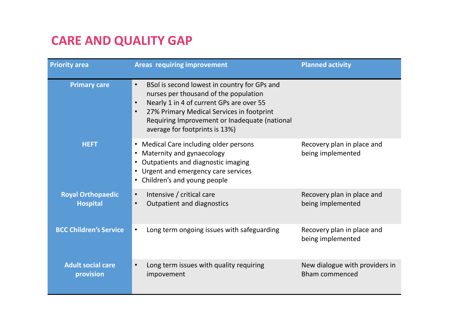## **CARE AND QUALITY GAP**

| <b>Priority area</b>                        | <b>Areas requiring improvement</b>                                                                                                                                                                                                                                                                       | <b>Planned activity</b>                                 |
|---------------------------------------------|----------------------------------------------------------------------------------------------------------------------------------------------------------------------------------------------------------------------------------------------------------------------------------------------------------|---------------------------------------------------------|
| <b>Primary care</b>                         | BSol is second lowest in country for GPs and<br>$\bullet$<br>nurses per thousand of the population<br>Nearly 1 in 4 of current GPs are over 55<br>$\bullet$<br>27% Primary Medical Services in footprint<br>$\bullet$<br>Requiring Improvement or Inadequate (national<br>average for footprints is 13%) |                                                         |
| <b>HEFT</b>                                 | • Medical Care including older persons<br>Maternity and gynaecology<br>Outpatients and diagnostic imaging<br>• Urgent and emergency care services<br>Children's and young people                                                                                                                         | Recovery plan in place and<br>being implemented         |
| <b>Royal Orthopaedic</b><br><b>Hospital</b> | Intensive / critical care<br>$\bullet$<br><b>Outpatient and diagnostics</b><br>$\bullet$                                                                                                                                                                                                                 | Recovery plan in place and<br>being implemented         |
| <b>BCC Children's Service</b>               | Long term ongoing issues with safeguarding<br>$\bullet$                                                                                                                                                                                                                                                  | Recovery plan in place and<br>being implemented         |
| <b>Adult social care</b><br>provision       | Long term issues with quality requiring<br>$\bullet$<br>impovement                                                                                                                                                                                                                                       | New dialogue with providers in<br><b>Bham commenced</b> |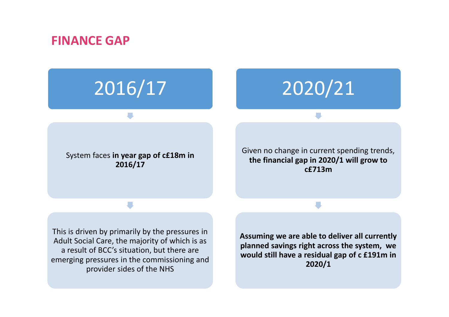### **FINANCE GAP**

# 2016/17

# 2020/21

System faces **in year gap of c£18m in 2016/17**

Given no change in current spending trends, **the financial gap in 2020/1 will grow to c£713m**

This is driven by primarily by the pressures in Adult Social Care, the majority of which is as a result of BCC's situation, but there are emerging pressures in the commissioning and provider sides of the NHS

**Assuming we are able to deliver all currently planned savings right across the system, we would still have a residual gap of c £191m in 2020/1**